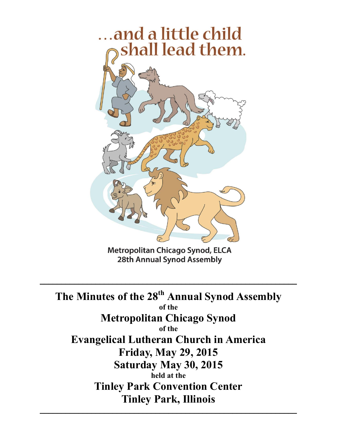

Metropolitan Chicago Synod, ELCA **28th Annual Synod Assembly** 

 $\mathcal{L}_\text{max} = \mathcal{L}_\text{max} = \mathcal{L}_\text{max} = \mathcal{L}_\text{max} = \mathcal{L}_\text{max} = \mathcal{L}_\text{max} = \mathcal{L}_\text{max} = \mathcal{L}_\text{max} = \mathcal{L}_\text{max} = \mathcal{L}_\text{max} = \mathcal{L}_\text{max} = \mathcal{L}_\text{max} = \mathcal{L}_\text{max} = \mathcal{L}_\text{max} = \mathcal{L}_\text{max} = \mathcal{L}_\text{max} = \mathcal{L}_\text{max} = \mathcal{L}_\text{max} = \mathcal{$ 

**The Minutes of the 28 th Annual Synod Assembly of the Metropolitan Chicago Synod of the Evangelical Lutheran Church in America Friday, May 29, 2015 Saturday May 30, 2015 held at the Tinley Park Convention Center Tinley Park, Illinois**

 $\mathcal{L}_\text{max}$  and  $\mathcal{L}_\text{max}$  and  $\mathcal{L}_\text{max}$  and  $\mathcal{L}_\text{max}$  and  $\mathcal{L}_\text{max}$  and  $\mathcal{L}_\text{max}$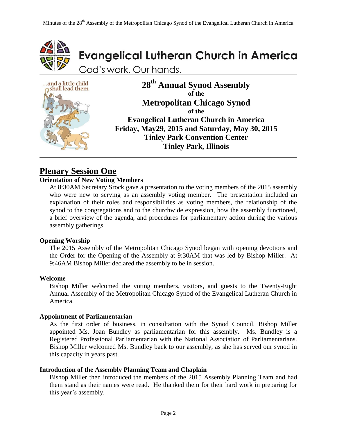



### **Plenary Session One**

#### **Orientation of New Voting Members**

At 8:30AM Secretary Srock gave a presentation to the voting members of the 2015 assembly who were new to serving as an assembly voting member. The presentation included an explanation of their roles and responsibilities as voting members, the relationship of the synod to the congregations and to the churchwide expression, how the assembly functioned, a brief overview of the agenda, and procedures for parliamentary action during the various assembly gatherings.

#### **Opening Worship**

The 2015 Assembly of the Metropolitan Chicago Synod began with opening devotions and the Order for the Opening of the Assembly at 9:30AM that was led by Bishop Miller. At 9:46AM Bishop Miller declared the assembly to be in session.

#### **Welcome**

Bishop Miller welcomed the voting members, visitors, and guests to the Twenty-Eight Annual Assembly of the Metropolitan Chicago Synod of the Evangelical Lutheran Church in America.

#### **Appointment of Parliamentarian**

As the first order of business, in consultation with the Synod Council, Bishop Miller appointed Ms. Joan Bundley as parliamentarian for this assembly. Ms. Bundley is a Registered Professional Parliamentarian with the National Association of Parliamentarians. Bishop Miller welcomed Ms. Bundley back to our assembly, as she has served our synod in this capacity in years past.

#### **Introduction of the Assembly Planning Team and Chaplain**

Bishop Miller then introduced the members of the 2015 Assembly Planning Team and had them stand as their names were read. He thanked them for their hard work in preparing for this year's assembly.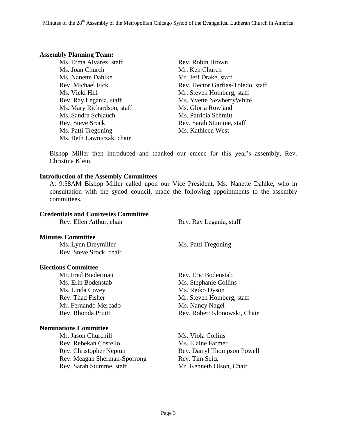#### **Assembly Planning Team:**

Ms. Erma Alvarez, staff Rev. Robin Brown Ms. Joan Church Mr. Ken Church Ms. Nanette Dahlke Mr. Jeff Drake, staff Ms. Vicki Hill Mr. Steven Homberg, staff Ms. Mary Richardson, staff Ms. Gloria Rowland Ms. Sandra Schlauch Ms. Patricia Schmitt Rev. Steve Srock Rev. Sarah Stumme, staff Ms. Patti Tregoning Ms. Kathleen West Ms. Beth Lawniczak, chair

Rev. Michael Fick Rev. Hector Garfias-Toledo, staff Rev. Ray Legania, staff Ms. Yvette Newberry White

Bishop Miller then introduced and thanked our emcee for this year's assembly, Rev. Christina Klein.

#### **Introduction of the Assembly Committees**

At 9:58AM Bishop Miller called upon our Vice President, Ms. Nanette Dahlke, who in consultation with the synod council, made the following appointments to the assembly committees.

#### **Credentials and Courtesies Committee**

| Rev. Ellen Arthur, chair |  |  |  |  |
|--------------------------|--|--|--|--|
|--------------------------|--|--|--|--|

#### **Minutes Committee**

Ms. Lynn Dreymiller Ms. Patti Tregoning Rev. Steve Srock, chair

#### **Elections Committee**

Mr. Fred Biederman Rev. Eric Bodenstab Ms. Erin Bodenstab Ms. Stephanie Collins Ms. Linda Covey Ms. Reiko Dyson Mr. Fernando Mercado Ms. Nancy Nagel

#### **Nominations Committee**

Mr. Jason Churchill Ms. Viola Collins Rev. Rebekah Costello Ms. Elaine Farmer Rev. Christopher Neptun Rev. Darryl Thompson Powell Rev. Meagan Sherman-Sporrong Rev. Tim Seitz Rev. Sarah Stumme, staff Mr. Kenneth Olson, Chair

Rev. Ray Legania, staff

Rev. Thad Fisher Mr. Steven Homberg, staff Rev. Rhonda Pruitt Rev. Robert Klonowski, Chair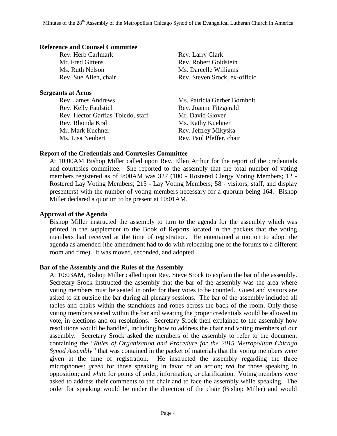#### **Reference and Counsel Committee**

Rev. Herb Carlmark Rev. Larry Clark

#### **Sergeants at Arms**

Rev. James Andrews Ms. Patricia Gerber Bornholt Rev. Kelly Faulstich Rev. Joanne Fitzgerald Rev. Hector Garfias-Toledo, staff Mr. David Glover Rev. Rhonda Kral Ms. Kathy Kuehner Mr. Mark Kuehner Rev. Jeffrey Mikyska Ms. Lisa Neubert **Rev. Paul Pfeffer**, chair

Mr. Fred Gittens Rev. Robert Goldstein Ms. Ruth Nelson Ms. Darcelle Williams Rev. Sue Allen, chair Rev. Steven Srock, ex-officio

#### **Report of the Credentials and Courtesies Committee**

At 10:00AM Bishop Miller called upon Rev. Ellen Arthur for the report of the credentials and courtesies committee. She reported to the assembly that the total number of voting members registered as of 9:00AM was 327 (100 - Rostered Clergy Voting Members; 12 - Rostered Lay Voting Members; 215 - Lay Voting Members; 58 - visitors, staff, and display presenters) with the number of voting members necessary for a quorum being 164. Bishop Miller declared a quorum to be present at 10:01AM.

#### **Approval of the Agenda**

Bishop Miller instructed the assembly to turn to the agenda for the assembly which was printed in the supplement to the Book of Reports located in the packets that the voting members had received at the time of registration. He entertained a motion to adopt the agenda as amended (the amendment had to do with relocating one of the forums to a different room and time). It was moved, seconded, and adopted.

#### **Bar of the Assembly and the Rules of the Assembly**

At 10:03AM, Bishop Miller called upon Rev. Steve Srock to explain the bar of the assembly. Secretary Srock instructed the assembly that the bar of the assembly was the area where voting members must be seated in order for their votes to be counted. Guest and visitors are asked to sit outside the bar during all plenary sessions. The bar of the assembly included all tables and chairs within the stanchions and ropes across the back of the room. Only those voting members seated within the bar and wearing the proper credentials would be allowed to vote, in elections and on resolutions. Secretary Srock then explained to the assembly how resolutions would be handled, including how to address the chair and voting members of our assembly. Secretary Srock asked the members of the assembly to refer to the document containing the "*Rules of Organization and Procedure for the 2015 Metropolitan Chicago Synod Assembly"* that was contained in the packet of materials that the voting members were given at the time of registration. He instructed the assembly regarding the three microphones: *green* for those speaking in favor of an action; *red* for those speaking in opposition; and *white* for points of order, information, or clarification. Voting members were asked to address their comments to the chair and to face the assembly while speaking. The order for speaking would be under the direction of the chair (Bishop Miller) and would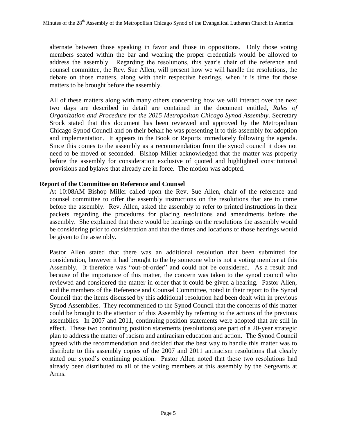alternate between those speaking in favor and those in oppositions. Only those voting members seated within the bar and wearing the proper credentials would be allowed to address the assembly. Regarding the resolutions, this year's chair of the reference and counsel committee, the Rev. Sue Allen, will present how we will handle the resolutions, the debate on those matters, along with their respective hearings, when it is time for those matters to be brought before the assembly.

All of these matters along with many others concerning how we will interact over the next two days are described in detail are contained in the document entitled, *Rules of Organization and Procedure for the 2015 Metropolitan Chicago Synod Assembly*. Secretary Srock stated that this document has been reviewed and approved by the Metropolitan Chicago Synod Council and on their behalf he was presenting it to this assembly for adoption and implementation. It appears in the Book or Reports immediately following the agenda. Since this comes to the assembly as a recommendation from the synod council it does not need to be moved or seconded. Bishop Miller acknowledged that the matter was properly before the assembly for consideration exclusive of quoted and highlighted constitutional provisions and bylaws that already are in force. The motion was adopted.

#### **Report of the Committee on Reference and Counsel**

At 10:08AM Bishop Miller called upon the Rev. Sue Allen, chair of the reference and counsel committee to offer the assembly instructions on the resolutions that are to come before the assembly. Rev. Allen, asked the assembly to refer to printed instructions in their packets regarding the procedures for placing resolutions and amendments before the assembly. She explained that there would be hearings on the resolutions the assembly would be considering prior to consideration and that the times and locations of those hearings would be given to the assembly.

Pastor Allen stated that there was an additional resolution that been submitted for consideration, however it had brought to the by someone who is not a voting member at this Assembly. It therefore was "out-of-order" and could not be considered. As a result and because of the importance of this matter, the concern was taken to the synod council who reviewed and considered the matter in order that it could be given a hearing. Pastor Allen, and the members of the Reference and Counsel Committee, noted in their report to the Synod Council that the items discussed by this additional resolution had been dealt with in previous Synod Assemblies. They recommended to the Synod Council that the concerns of this matter could be brought to the attention of this Assembly by referring to the actions of the previous assemblies. In 2007 and 2011, continuing position statements were adopted that are still in effect. These two continuing position statements (resolutions) are part of a 20-year strategic plan to address the matter of racism and antiracism education and action. The Synod Council agreed with the recommendation and decided that the best way to handle this matter was to distribute to this assembly copies of the 2007 and 2011 antiracism resolutions that clearly stated our synod's continuing position. Pastor Allen noted that these two resolutions had already been distributed to all of the voting members at this assembly by the Sergeants at Arms.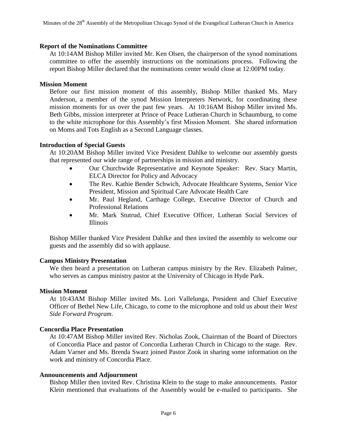#### **Report of the Nominations Committee**

At 10:14AM Bishop Miller invited Mr. Ken Olsen, the chairperson of the synod nominations committee to offer the assembly instructions on the nominations process. Following the report Bishop Miller declared that the nominations center would close at 12:00PM today.

#### **Mission Moment**

Before our first mission moment of this assembly, Bishop Miller thanked Ms. Mary Anderson, a member of the synod Mission Interpreters Network, for coordinating these mission moments for us over the past few years. At 10:16AM Bishop Miller invited Ms. Beth Gibbs, mission interpreter at Prince of Peace Lutheran Church in Schaumburg, to come to the white microphone for this Assembly's first Mission Moment. She shared information on Moms and Tots English as a Second Language classes.

#### **Introduction of Special Guests**

At 10:20AM Bishop Miller invited Vice President Dahlke to welcome our assembly guests that represented our wide range of partnerships in mission and ministry.

- Our Churchwide Representative and Keynote Speaker: Rev. Stacy Martin, ELCA Director for Policy and Advocacy
- The Rev. Kathie Bender Schwich, Advocate Healthcare Systems, Senior Vice President, Mission and Spiritual Care Advocate Health Care
- Mr. Paul Hegland, Carthage College, Executive Director of Church and Professional Relations
- Mr. Mark Stutrud, Chief Executive Officer, Lutheran Social Services of Illinois

Bishop Miller thanked Vice President Dahlke and then invited the assembly to welcome our guests and the assembly did so with applause.

#### **Campus Ministry Presentation**

We then heard a presentation on Lutheran campus ministry by the Rev. Elizabeth Palmer, who serves as campus ministry pastor at the University of Chicago in Hyde Park.

#### **Mission Moment**

At 10:43AM Bishop Miller invited Ms. Lori Vallelunga, President and Chief Executive Officer of Bethel New Life, Chicago, to come to the microphone and told us about their *West Side Forward Program*.

#### **Concordia Place Presentation**

At 10:47AM Bishop Miller invited Rev. Nicholas Zook, Chairman of the Board of Directors of Concordia Place and pastor of Concordia Lutheran Church in Chicago to the stage. Rev. Adam Varner and Ms. Brenda Swarz joined Pastor Zook in sharing some information on the work and ministry of Concordia Place.

#### **Announcements and Adjournment**

Bishop Miller then invited Rev. Christina Klein to the stage to make announcements. Pastor Klein mentioned that evaluations of the Assembly would be e-mailed to participants. She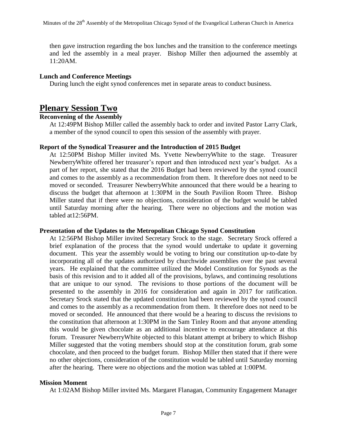then gave instruction regarding the box lunches and the transition to the conference meetings and led the assembly in a meal prayer. Bishop Miller then adjourned the assembly at 11:20AM.

#### **Lunch and Conference Meetings**

During lunch the eight synod conferences met in separate areas to conduct business.

### **Plenary Session Two**

#### **Reconvening of the Assembly**

At 12:49PM Bishop Miller called the assembly back to order and invited Pastor Larry Clark, a member of the synod council to open this session of the assembly with prayer.

#### **Report of the Synodical Treasurer and the Introduction of 2015 Budget**

At 12:50PM Bishop Miller invited Ms. Yvette NewberryWhite to the stage. Treasurer NewberryWhite offered her treasurer's report and then introduced next year's budget. As a part of her report, she stated that the 2016 Budget had been reviewed by the synod council and comes to the assembly as a recommendation from them. It therefore does not need to be moved or seconded. Treasurer NewberryWhite announced that there would be a hearing to discuss the budget that afternoon at 1:30PM in the South Pavilion Room Three. Bishop Miller stated that if there were no objections, consideration of the budget would be tabled until Saturday morning after the hearing. There were no objections and the motion was tabled at12:56PM.

#### **Presentation of the Updates to the Metropolitan Chicago Synod Constitution**

At 12:56PM Bishop Miller invited Secretary Srock to the stage. Secretary Srock offered a brief explanation of the process that the synod would undertake to update it governing document. This year the assembly would be voting to bring our constitution up-to-date by incorporating all of the updates authorized by churchwide assemblies over the past several years. He explained that the committee utilized the Model Constitution for Synods as the basis of this revision and to it added all of the provisions, bylaws, and continuing resolutions that are unique to our synod. The revisions to those portions of the document will be presented to the assembly in 2016 for consideration and again in 2017 for ratification. Secretary Srock stated that the updated constitution had been reviewed by the synod council and comes to the assembly as a recommendation from them. It therefore does not need to be moved or seconded. He announced that there would be a hearing to discuss the revisions to the constitution that afternoon at 1:30PM in the Sam Tinley Room and that anyone attending this would be given chocolate as an additional incentive to encourage attendance at this forum. Treasurer NewberryWhite objected to this blatant attempt at bribery to which Bishop Miller suggested that the voting members should stop at the constitution forum, grab some chocolate, and then proceed to the budget forum. Bishop Miller then stated that if there were no other objections, consideration of the constitution would be tabled until Saturday morning after the hearing. There were no objections and the motion was tabled at 1:00PM.

#### **Mission Moment**

At 1:02AM Bishop Miller invited Ms. Margaret Flanagan, Community Engagement Manager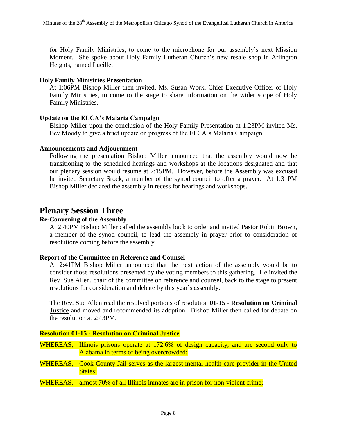for Holy Family Ministries, to come to the microphone for our assembly's next Mission Moment. She spoke about Holy Family Lutheran Church's new resale shop in Arlington Heights, named Lucille.

#### **Holy Family Ministries Presentation**

At 1:06PM Bishop Miller then invited, Ms. Susan Work, Chief Executive Officer of Holy Family Ministries, to come to the stage to share information on the wider scope of Holy Family Ministries.

#### **Update on the ELCA's Malaria Campaign**

Bishop Miller upon the conclusion of the Holy Family Presentation at 1:23PM invited Ms. Bev Moody to give a brief update on progress of the ELCA's Malaria Campaign.

#### **Announcements and Adjournment**

Following the presentation Bishop Miller announced that the assembly would now be transitioning to the scheduled hearings and workshops at the locations designated and that our plenary session would resume at 2:15PM. However, before the Assembly was excused he invited Secretary Srock, a member of the synod council to offer a prayer. At 1:31PM Bishop Miller declared the assembly in recess for hearings and workshops.

### **Plenary Session Three**

### **Re-Convening of the Assembly**

At 2:40PM Bishop Miller called the assembly back to order and invited Pastor Robin Brown, a member of the synod council, to lead the assembly in prayer prior to consideration of resolutions coming before the assembly.

#### **Report of the Committee on Reference and Counsel**

At 2:41PM Bishop Miller announced that the next action of the assembly would be to consider those resolutions presented by the voting members to this gathering. He invited the Rev. Sue Allen, chair of the committee on reference and counsel, back to the stage to present resolutions for consideration and debate by this year's assembly.

The Rev. Sue Allen read the resolved portions of resolution **01-15 - Resolution on Criminal Justice** and moved and recommended its adoption. Bishop Miller then called for debate on the resolution at 2:43PM.

#### **Resolution 01-15 - Resolution on Criminal Justice**

WHEREAS, Illinois prisons operate at 172.6% of design capacity, and are second only to Alabama in terms of being overcrowded;

- WHEREAS, Cook County Jail serves as the largest mental health care provider in the United States;
- WHEREAS, almost 70% of all Illinois inmates are in prison for non-violent crime;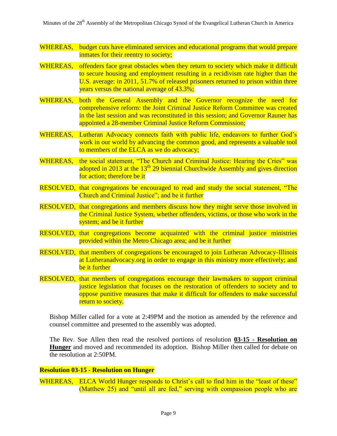Minutes of the 28<sup>th</sup> Assembly of the Metropolitan Chicago Synod of the Evangelical Lutheran Church in America

- WHEREAS, budget cuts have eliminated services and educational programs that would prepare inmates for their reentry to society;
- WHEREAS, offenders face great obstacles when they return to society which make it difficult to secure housing and employment resulting in a recidivism rate higher than the U.S. average: in 2011, 51.7% of released prisoners returned to prison within three years versus the national average of 43.3%;
- WHEREAS, both the General Assembly and the Governor recognize the need for comprehensive reform: the Joint Criminal Justice Reform Committee was created in the last session and was reconstituted in this session; and Governor Rauner has appointed a 28-member Criminal Justice Reform Commission;
- WHEREAS, Lutheran Advocacy connects faith with public life, endeavors to further God's work in our world by advancing the common good, and represents a valuable tool to members of the ELCA as we do advocacy;
- WHEREAS, the social statement, "The Church and Criminal Justice: Hearing the Cries" was adopted in 2013 at the  $13<sup>th</sup>$  29 biennial Churchwide Assembly and gives direction for action; therefore be it
- RESOLVED, that congregations be encouraged to read and study the social statement, "The Church and Criminal Justice"; and be it further
- RESOLVED, that congregations and members discuss how they might serve those involved in the Criminal Justice System, whether offenders, victims, or those who work in the system; and be it further
- RESOLVED, that congregations become acquainted with the criminal justice ministries provided within the Metro Chicago area; and be it further
- RESOLVED, that members of congregations be encouraged to join Lutheran Advocacy-Illinois at Lutheranadvocacy.org in order to engage in this ministry more effectively; and be it further
- RESOLVED, that members of congregations encourage their lawmakers to support criminal justice legislation that focuses on the restoration of offenders to society and to oppose punitive measures that make it difficult for offenders to make successful return to society.

Bishop Miller called for a vote at 2:49PM and the motion as amended by the reference and counsel committee and presented to the assembly was adopted.

The Rev. Sue Allen then read the resolved portions of resolution **03-15 - Resolution on Hunger** and moved and recommended its adoption. Bishop Miller then called for debate on the resolution at 2:50PM.

#### **Resolution 03-15 - Resolution on Hunger**

WHEREAS, ELCA World Hunger responds to Christ's call to find him in the "least of these" (Matthew 25) and "until all are fed," serving with compassion people who are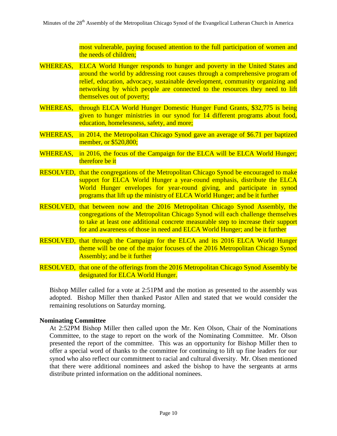most vulnerable, paying focused attention to the full participation of women and the needs of children;

- WHEREAS, ELCA World Hunger responds to hunger and poverty in the United States and around the world by addressing root causes through a comprehensive program of relief, education, advocacy, sustainable development, community organizing and networking by which people are connected to the resources they need to lift themselves out of poverty;
- WHEREAS, through ELCA World Hunger Domestic Hunger Fund Grants, \$32,775 is being given to hunger ministries in our synod for 14 different programs about food, education, homelessness, safety, and more;
- WHEREAS, in 2014, the Metropolitan Chicago Synod gave an average of \$6.71 per baptized member, or \$520,800;
- WHEREAS, in 2016, the focus of the Campaign for the ELCA will be ELCA World Hunger; therefore be it
- RESOLVED, that the congregations of the Metropolitan Chicago Synod be encouraged to make support for ELCA World Hunger a year-round emphasis, distribute the ELCA World Hunger envelopes for year-round giving, and participate in synod programs that lift up the ministry of ELCA World Hunger; and be it further
- RESOLVED, that between now and the 2016 Metropolitan Chicago Synod Assembly, the congregations of the Metropolitan Chicago Synod will each challenge themselves to take at least one additional concrete measurable step to increase their support for and awareness of those in need and ELCA World Hunger; and be it further
- RESOLVED, that through the Campaign for the ELCA and its 2016 ELCA World Hunger theme will be one of the major focuses of the 2016 Metropolitan Chicago Synod Assembly; and be it further
- RESOLVED, that one of the offerings from the 2016 Metropolitan Chicago Synod Assembly be designated for ELCA World Hunger.

Bishop Miller called for a vote at 2:51PM and the motion as presented to the assembly was adopted. Bishop Miller then thanked Pastor Allen and stated that we would consider the remaining resolutions on Saturday morning.

#### **Nominating Committee**

At 2:52PM Bishop Miller then called upon the Mr. Ken Olson, Chair of the Nominations Committee, to the stage to report on the work of the Nominating Committee. Mr. Olson presented the report of the committee. This was an opportunity for Bishop Miller then to offer a special word of thanks to the committee for continuing to lift up fine leaders for our synod who also reflect our commitment to racial and cultural diversity. Mr. Olsen mentioned that there were additional nominees and asked the bishop to have the sergeants at arms distribute printed information on the additional nominees.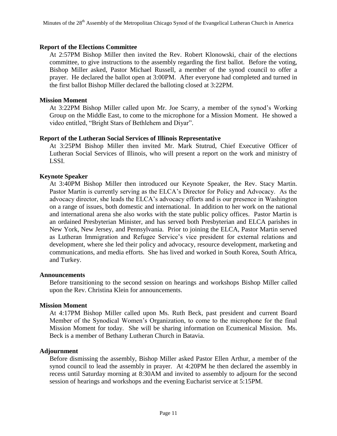#### **Report of the Elections Committee**

At 2:57PM Bishop Miller then invited the Rev. Robert Klonowski, chair of the elections committee, to give instructions to the assembly regarding the first ballot. Before the voting, Bishop Miller asked, Pastor Michael Russell, a member of the synod council to offer a prayer. He declared the ballot open at 3:00PM. After everyone had completed and turned in the first ballot Bishop Miller declared the balloting closed at 3:22PM.

#### **Mission Moment**

At 3:22PM Bishop Miller called upon Mr. Joe Scarry, a member of the synod's Working Group on the Middle East, to come to the microphone for a Mission Moment. He showed a video entitled, "Bright Stars of Bethlehem and Diyar".

#### **Report of the Lutheran Social Services of Illinois Representative**

At 3:25PM Bishop Miller then invited Mr. Mark Stutrud, Chief Executive Officer of Lutheran Social Services of Illinois, who will present a report on the work and ministry of LSSI.

#### **Keynote Speaker**

At 3:40PM Bishop Miller then introduced our Keynote Speaker, the Rev. Stacy Martin. Pastor Martin is currently serving as the ELCA's Director for Policy and Advocacy. As the advocacy director, she leads the ELCA's advocacy efforts and is our presence in Washington on a range of issues, both domestic and international. In addition to her work on the national and international arena she also works with the state public policy offices. Pastor Martin is an ordained Presbyterian Minister, and has served both Presbyterian and ELCA parishes in New York, New Jersey, and Pennsylvania. Prior to joining the ELCA, Pastor Martin served as Lutheran Immigration and Refugee Service's vice president for external relations and development, where she led their policy and advocacy, resource development, marketing and communications, and media efforts. She has lived and worked in South Korea, South Africa, and Turkey.

#### **Announcements**

Before transitioning to the second session on hearings and workshops Bishop Miller called upon the Rev. Christina Klein for announcements.

#### **Mission Moment**

At 4:17PM Bishop Miller called upon Ms. Ruth Beck, past president and current Board Member of the Synodical Women's Organization, to come to the microphone for the final Mission Moment for today. She will be sharing information on Ecumenical Mission. Ms. Beck is a member of Bethany Lutheran Church in Batavia.

#### **Adjournment**

Before dismissing the assembly, Bishop Miller asked Pastor Ellen Arthur, a member of the synod council to lead the assembly in prayer. At 4:20PM he then declared the assembly in recess until Saturday morning at 8:30AM and invited to assembly to adjourn for the second session of hearings and workshops and the evening Eucharist service at 5:15PM.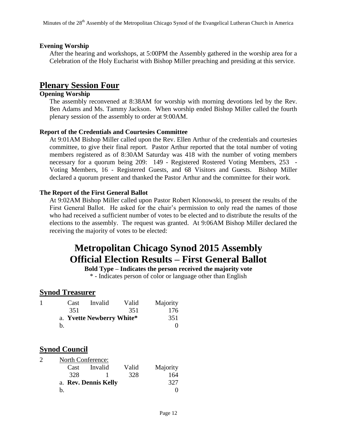#### **Evening Worship**

After the hearing and workshops, at 5:00PM the Assembly gathered in the worship area for a Celebration of the Holy Eucharist with Bishop Miller preaching and presiding at this service.

### **Plenary Session Four**

#### **Opening Worship**

The assembly reconvened at 8:38AM for worship with morning devotions led by the Rev. Ben Adams and Ms. Tammy Jackson. When worship ended Bishop Miller called the fourth plenary session of the assembly to order at 9:00AM.

#### **Report of the Credentials and Courtesies Committee**

At 9:01AM Bishop Miller called upon the Rev. Ellen Arthur of the credentials and courtesies committee, to give their final report. Pastor Arthur reported that the total number of voting members registered as of 8:30AM Saturday was 418 with the number of voting members necessary for a quorum being 209: 149 - Registered Rostered Voting Members, 253 - Voting Members, 16 - Registered Guests, and 68 Visitors and Guests. Bishop Miller declared a quorum present and thanked the Pastor Arthur and the committee for their work.

#### **The Report of the First General Ballot**

At 9:02AM Bishop Miller called upon Pastor Robert Klonowski, to present the results of the First General Ballot. He asked for the chair's permission to only read the names of those who had received a sufficient number of votes to be elected and to distribute the results of the elections to the assembly. The request was granted. At 9:06AM Bishop Miller declared the receiving the majority of votes to be elected:

# **Metropolitan Chicago Synod 2015 Assembly Official Election Results – First General Ballot**

#### **Bold Type – Indicates the person received the majority vote**

\* - Indicates person of color or language other than English

#### **Synod Treasurer**

| Cast | Invalid                   | Valid | Majority |
|------|---------------------------|-------|----------|
| 351  |                           | 351   | 176      |
|      | a. Yvette Newberry White* |       | 351      |
| h.   |                           |       |          |

### **Synod Council**

| $\mathcal{D}$ | North Conference: |         |       |          |
|---------------|-------------------|---------|-------|----------|
|               | Cast              | Invalid | Valid | Majority |
|               | 328               |         | 328   | 164      |
|               | 327               |         |       |          |
|               | h.                |         |       |          |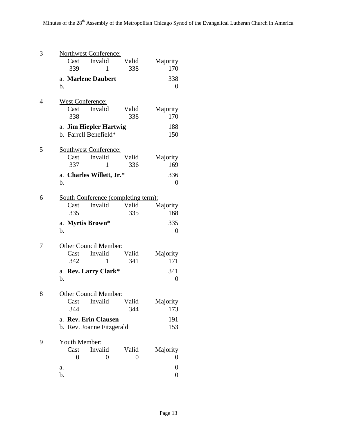| 3 | <b>Northwest Conference:</b>               |              |                  |
|---|--------------------------------------------|--------------|------------------|
|   | Invalid<br>Cast                            | Valid        | Majority         |
|   | 339<br>1                                   | 338          | 170              |
|   | a. Marlene Daubert                         |              | 338              |
|   | b.                                         |              | 0                |
|   |                                            |              |                  |
| 4 | West Conference:<br>Invalid<br>Cast        | Valid        |                  |
|   | 338                                        | 338          | Majority<br>170  |
|   | a. Jim Hiepler Hartwig                     |              | 188              |
|   | b. Farrell Benefield*                      |              | 150              |
|   |                                            |              |                  |
| 5 | <b>Southwest Conference:</b>               |              |                  |
|   | Invalid<br>Cast                            | Valid        | Majority         |
|   | 337<br>1                                   | 336          | 169              |
|   | a. Charles Willett, Jr.*                   |              | 336              |
|   | b.                                         |              | 0                |
| 6 | <b>South Conference (completing term):</b> |              |                  |
|   | Cast<br>Invalid                            | Valid        | Majority         |
|   | 335                                        | 335          | 168              |
|   | a. Myrtis Brown*                           |              | 335              |
|   | b.                                         |              | 0                |
|   |                                            |              |                  |
| 7 | Other Council Member:                      |              |                  |
|   | Invalid<br>Cast<br>342                     | Valid<br>341 | Majority<br>171  |
|   | $\mathbf{1}$                               |              |                  |
|   | a. Rev. Larry Clark*                       |              | 341              |
|   | b.                                         |              | $\overline{0}$   |
| 8 | Other Council Member:                      |              |                  |
|   | Cast<br>Invalid                            | Valid        | Majority         |
|   | 344                                        | 344          | 173              |
|   | a. Rev. Erin Clausen                       |              | 191              |
|   | b. Rev. Joanne Fitzgerald                  |              | 153              |
| 9 |                                            |              |                  |
|   | Youth Member:<br>Invalid<br>Cast           | Valid        | Majority         |
|   | 0<br>0                                     | 0            | 0                |
|   | a.                                         |              | $\boldsymbol{0}$ |
|   | b.                                         |              | $\boldsymbol{0}$ |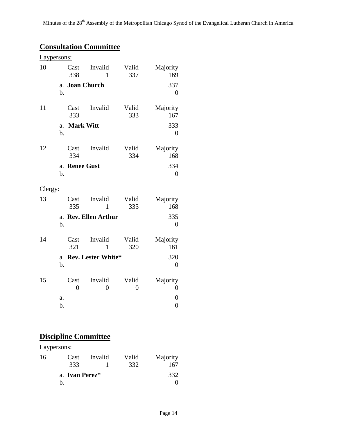# **Consultation Committee**

| Laypersons: |                      |                        |                           |                         |                                  |
|-------------|----------------------|------------------------|---------------------------|-------------------------|----------------------------------|
| 10          |                      | Cast<br>338            | Invalid<br>$\mathbf{1}$   | Valid<br>337            | Majority<br>169                  |
|             | a.<br>b.             |                        | <b>Joan Church</b>        |                         | 337<br>$\overline{0}$            |
| 11          |                      | Cast<br>333            | Invalid                   | Valid<br>333            | Majority<br>167                  |
|             | a.<br>$\mathbf{b}$ . | <b>Mark Witt</b>       |                           |                         | 333<br>$\overline{0}$            |
| 12          |                      | Cast<br>334            | Invalid                   | Valid<br>334            | Majority<br>168                  |
|             | a.<br>b.             | <b>Renee Gust</b>      |                           |                         | 334<br>$\overline{0}$            |
| Clergy:     |                      |                        |                           |                         |                                  |
| 13          |                      | Cast<br>335            | Invalid<br>$\mathbf{1}$   | Valid<br>335            | Majority<br>168                  |
|             | a.<br>b.             |                        | <b>Rev. Ellen Arthur</b>  |                         | 335<br>$\overline{0}$            |
| 14          |                      | Cast<br>321            | Invalid<br>1              | Valid<br>320            | Majority<br>161                  |
|             | b.                   |                        | a. Rev. Lester White*     |                         | 320<br>$\overline{0}$            |
| 15          |                      | Cast<br>$\overline{0}$ | Invalid<br>$\overline{0}$ | Valid<br>$\overline{0}$ | Majority<br>$\boldsymbol{0}$     |
|             | a.<br>b.             |                        |                           |                         | $\overline{0}$<br>$\overline{0}$ |

# **Discipline Committee**

Laypersons: 16 Cast Invalid Valid Majority

| Cast           | 111 valit | v aliu | <b>IVIA</b> JULILY |
|----------------|-----------|--------|--------------------|
| 333            |           | 332    | 167                |
| a. Ivan Perez* |           |        | 332                |
|                |           |        |                    |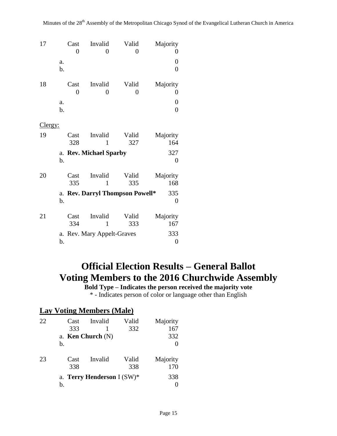| 17      |          | Cast<br>$\overline{0}$ | Invalid<br>0                    | Valid<br>0   | Majority<br>0           |
|---------|----------|------------------------|---------------------------------|--------------|-------------------------|
|         | a.<br>b. |                        |                                 |              | 0<br>$\overline{0}$     |
| 18      |          | Cast<br>$\overline{0}$ | Invalid<br>0                    | Valid<br>0   | Majority<br>0           |
|         | a.<br>b. |                        |                                 |              | 0<br>$\overline{0}$     |
| Clergy: |          |                        |                                 |              |                         |
| 19      |          | Cast<br>328            | Invalid<br>1                    | Valid<br>327 | Majority<br>164         |
|         | b.       |                        | a. Rev. Michael Sparby          |              | 327<br>$\overline{0}$   |
| 20      |          | Cast<br>335            | Invalid<br>1                    | Valid<br>335 | Majority<br>168         |
|         | b.       |                        | a. Rev. Darryl Thompson Powell* |              | 335<br>$\boldsymbol{0}$ |
| 21      |          | Cast<br>334            | Invalid<br>1                    | Valid<br>333 | Majority<br>167         |
|         | b.       |                        | a. Rev. Mary Appelt-Graves      |              | 333<br>$\boldsymbol{0}$ |

# **Official Election Results – General Ballot Voting Members to the 2016 Churchwide Assembly**

**Bold Type – Indicates the person received the majority vote** \* - Indicates person of color or language other than English

### **Lay Voting Members (Male)**

| 22 | Cast | Invalid                       | Valid | Majority |
|----|------|-------------------------------|-------|----------|
|    | 333  |                               | 332   | 167      |
|    |      | a. Ken Church $(N)$           |       | 332      |
|    | b.   |                               |       |          |
| 23 | Cast | Invalid                       | Valid | Majority |
|    | 338  |                               | 338   | 170      |
|    |      | a. Terry Henderson I $(SW)^*$ |       | 338      |
|    | b.   |                               |       |          |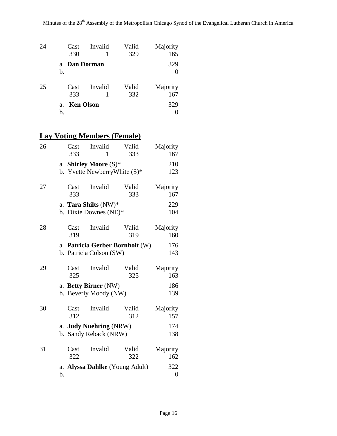| 24 | Cast                               | Invalid | Valid | Majority |
|----|------------------------------------|---------|-------|----------|
|    | 330                                |         | 329   | 165      |
|    | a. Dan Dorman                      |         |       | 329      |
|    | b.                                 |         |       |          |
| 25 | Cast                               | Invalid | Valid | Majority |
|    |                                    |         |       |          |
|    | 333                                |         | 332   | 167      |
|    | <b>Ken Olson</b><br>a <sub>1</sub> |         |       | 329      |
|    | b.                                 |         |       |          |

# **Lay Voting Members (Female)**

| 26 |          | Cast<br>333 | Invalid<br>1                                    | Valid<br>333                    | Majority<br>167         |
|----|----------|-------------|-------------------------------------------------|---------------------------------|-------------------------|
|    |          |             | a. Shirley Moore $(S)^*$                        | b. Yvette NewberryWhite $(S)^*$ | 210<br>123              |
| 27 |          | Cast<br>333 | Invalid                                         | Valid<br>333                    | Majority<br>167         |
|    |          |             | a. Tara Shilts (NW)*<br>b. Dixie Downes (NE)*   |                                 | 229<br>104              |
| 28 |          | Cast<br>319 | Invalid                                         | Valid<br>319                    | Majority<br>160         |
|    |          |             | b. Patricia Colson (SW)                         | a. Patricia Gerber Bornholt (W) | 176<br>143              |
| 29 |          | Cast<br>325 | Invalid                                         | Valid<br>325                    | Majority<br>163         |
|    |          |             | a. Betty Birner (NW)<br>b. Beverly Moody (NW)   |                                 | 186<br>139              |
| 30 |          | Cast<br>312 | Invalid                                         | Valid<br>312                    | Majority<br>157         |
|    |          |             | a. Judy Nuehring (NRW)<br>b. Sandy Reback (NRW) |                                 | 174<br>138              |
| 31 |          | Cast<br>322 | Invalid                                         | Valid<br>322                    | Majority<br>162         |
|    | a.<br>b. |             |                                                 | Alyssa Dahlke (Young Adult)     | 322<br>$\boldsymbol{0}$ |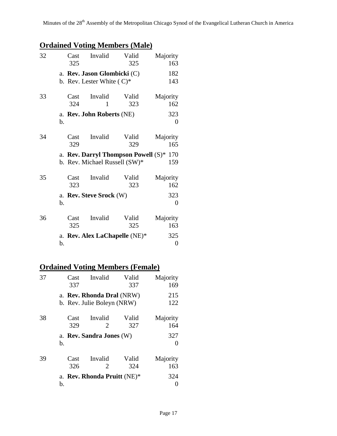# **Ordained Voting Members (Male)**

| 32 |    | Cast<br>325 | Invalid                                                     | Valid<br>325                                                                         | Majority<br>163                          |
|----|----|-------------|-------------------------------------------------------------|--------------------------------------------------------------------------------------|------------------------------------------|
|    |    |             | a. Rev. Jason Glombicki (C)<br>b. Rev. Lester White $(C)^*$ |                                                                                      | 182<br>143                               |
| 33 | b. | Cast<br>324 | Invalid<br>1<br>a. Rev. John Roberts (NE)                   | Valid<br>323                                                                         | Majority<br>162<br>323<br>$\overline{0}$ |
| 34 |    | Cast<br>329 | Invalid                                                     | Valid<br>329<br>a. Rev. Darryl Thompson Powell (S)*<br>b. Rev. Michael Russell (SW)* | Majority<br>165<br>170<br>159            |
| 35 | b. | Cast<br>323 | Invalid<br>a. Rev. Steve Srock (W)                          | Valid<br>323                                                                         | Majority<br>162<br>323<br>$\overline{0}$ |
| 36 | b. | Cast<br>325 | Invalid                                                     | Valid<br>325<br>a. Rev. Alex LaChapelle (NE)*                                        | Majority<br>163<br>325<br>0              |

# **Ordained Voting Members (Female)**

| 37 | Cast<br>337 | Invalid                                                 | Valid<br>337 | Majority<br>169          |
|----|-------------|---------------------------------------------------------|--------------|--------------------------|
|    |             | a. Rev. Rhonda Dral (NRW)<br>b. Rev. Julie Boleyn (NRW) |              | 215<br>122               |
| 38 | Cast<br>329 | Invalid<br>2                                            | Valid<br>327 | Majority<br>164          |
|    | b.          | a. Rev. Sandra Jones (W)                                |              | 327<br>$\mathbf{\Omega}$ |
| 39 | Cast<br>326 | Invalid<br>2                                            | Valid<br>324 | Majority<br>163          |
|    | b.          | a. Rev. Rhonda Pruitt (NE)*                             |              | 324                      |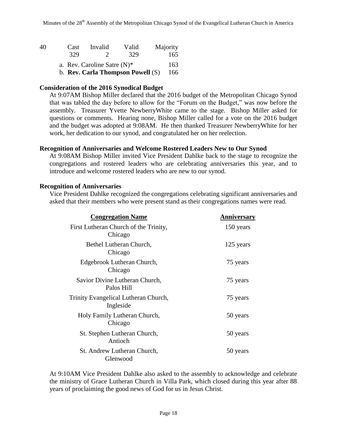| 40 | Cast                           | Invalid       | Valid                               | Majority |
|----|--------------------------------|---------------|-------------------------------------|----------|
|    | 329                            | $\mathcal{L}$ | 329                                 | 165      |
|    | a. Rev. Caroline Satre $(N)^*$ |               |                                     | 163      |
|    |                                |               | b. Rev. Carla Thompson Powell $(S)$ | 166      |

#### **Consideration of the 2016 Synodical Budget**

At 9:07AM Bishop Miller declared that the 2016 budget of the Metropolitan Chicago Synod that was tabled the day before to allow for the "Forum on the Budget," was now before the assembly. Treasurer Yvette NewberryWhite came to the stage. Bishop Miller asked for questions or comments. Hearing none, Bishop Miller called for a vote on the 2016 budget and the budget was adopted at 9:08AM. He then thanked Treasurer NewberryWhite for her work, her dedication to our synod, and congratulated her on her reelection.

#### **Recognition of Anniversaries and Welcome Rostered Leaders New to Our Synod**

At 9:08AM Bishop Miller invited Vice President Dahlke back to the stage to recognize the congregations and rostered leaders who are celebrating anniversaries this year, and to introduce and welcome rostered leaders who are new to our synod.

#### **Recognition of Anniversaries**

Vice President Dahlke recognized the congregations celebrating significant anniversaries and asked that their members who were present stand as their congregations names were read.

| <b>Congregation Name</b>                          | <b>Anniversary</b> |
|---------------------------------------------------|--------------------|
| First Lutheran Church of the Trinity,<br>Chicago  | 150 years          |
| Bethel Lutheran Church,<br>Chicago                | 125 years          |
| Edgebrook Lutheran Church,<br>Chicago             | 75 years           |
| Savior Divine Lutheran Church,<br>Palos Hill      | 75 years           |
| Trinity Evangelical Lutheran Church,<br>Ingleside | 75 years           |
| Holy Family Lutheran Church,<br>Chicago           | 50 years           |
| St. Stephen Lutheran Church,<br>Antioch           | 50 years           |
| St. Andrew Lutheran Church,<br>Glenwood           | 50 years           |

At 9:10AM Vice President Dahlke also asked to the assembly to acknowledge and celebrate the ministry of Grace Lutheran Church in Villa Park, which closed during this year after 88 years of proclaiming the good news of God for us in Jesus Christ.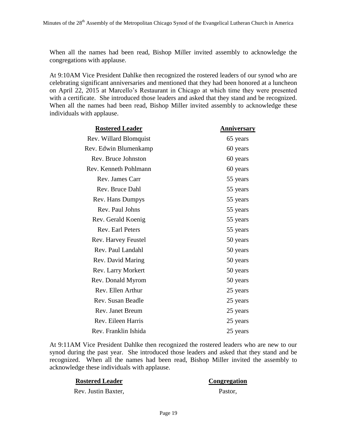When all the names had been read, Bishop Miller invited assembly to acknowledge the congregations with applause.

At 9:10AM Vice President Dahlke then recognized the rostered leaders of our synod who are celebrating significant anniversaries and mentioned that they had been honored at a luncheon on April 22, 2015 at Marcello's Restaurant in Chicago at which time they were presented with a certificate. She introduced those leaders and asked that they stand and be recognized. When all the names had been read, Bishop Miller invited assembly to acknowledge these individuals with applause.

| <b>Rostered Leader</b> | Anniversary |
|------------------------|-------------|
| Rev. Willard Blomquist | 65 years    |
| Rev. Edwin Blumenkamp  | 60 years    |
| Rev. Bruce Johnston    | 60 years    |
| Rev. Kenneth Pohlmann  | 60 years    |
| Rev. James Carr        | 55 years    |
| Rev. Bruce Dahl        | 55 years    |
| Rev. Hans Dumpys       | 55 years    |
| Rev. Paul Johns        | 55 years    |
| Rev. Gerald Koenig     | 55 years    |
| Rev. Earl Peters       | 55 years    |
| Rev. Harvey Feustel    | 50 years    |
| Rev. Paul Landahl      | 50 years    |
| Rev. David Maring      | 50 years    |
| Rev. Larry Morkert     | 50 years    |
| Rev. Donald Myrom      | 50 years    |
| Rev. Ellen Arthur      | 25 years    |
| Rev. Susan Beadle      | 25 years    |
| Rev. Janet Breum       | 25 years    |
| Rev. Eileen Harris     | 25 years    |
| Rev. Franklin Ishida   | 25 years    |

At 9:11AM Vice President Dahlke then recognized the rostered leaders who are new to our synod during the past year. She introduced those leaders and asked that they stand and be recognized. When all the names had been read, Bishop Miller invited the assembly to acknowledge these individuals with applause.

#### **Rostered Leader Congregation**

Rev. Justin Baxter, Pastor,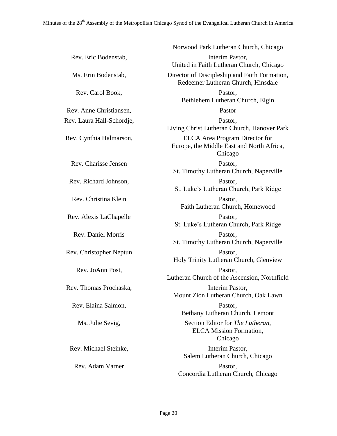|                           | Norwood Park Lutheran Church, Chicago                                                         |
|---------------------------|-----------------------------------------------------------------------------------------------|
| Rev. Eric Bodenstab,      | Interim Pastor,<br>United in Faith Lutheran Church, Chicago                                   |
| Ms. Erin Bodenstab,       | Director of Discipleship and Faith Formation,<br>Redeemer Lutheran Church, Hinsdale           |
| Rev. Carol Book,          | Pastor,<br>Bethlehem Lutheran Church, Elgin                                                   |
| Rev. Anne Christiansen,   | Pastor                                                                                        |
| Rev. Laura Hall-Schordje, | Pastor,<br>Living Christ Lutheran Church, Hanover Park                                        |
| Rev. Cynthia Halmarson,   | <b>ELCA</b> Area Program Director for<br>Europe, the Middle East and North Africa,<br>Chicago |
| Rev. Charisse Jensen      | Pastor,<br>St. Timothy Lutheran Church, Naperville                                            |
| Rev. Richard Johnson,     | Pastor,<br>St. Luke's Lutheran Church, Park Ridge                                             |
| Rev. Christina Klein      | Pastor,<br>Faith Lutheran Church, Homewood                                                    |
| Rev. Alexis LaChapelle    | Pastor,<br>St. Luke's Lutheran Church, Park Ridge                                             |
| <b>Rev. Daniel Morris</b> | Pastor,<br>St. Timothy Lutheran Church, Naperville                                            |
| Rev. Christopher Neptun   | Pastor,<br>Holy Trinity Lutheran Church, Glenview                                             |
| Rev. JoAnn Post,          | Pastor,<br>Lutheran Church of the Ascension, Northfield                                       |
| Rev. Thomas Prochaska,    | Interim Pastor,<br>Mount Zion Lutheran Church, Oak Lawn                                       |
| Rev. Elaina Salmon,       | Pastor,<br>Bethany Lutheran Church, Lemont                                                    |
| Ms. Julie Sevig,          | Section Editor for The Lutheran,<br><b>ELCA</b> Mission Formation,<br>Chicago                 |
| Rev. Michael Steinke,     | Interim Pastor,<br>Salem Lutheran Church, Chicago                                             |
| Rev. Adam Varner          | Pastor,<br>Concordia Lutheran Church, Chicago                                                 |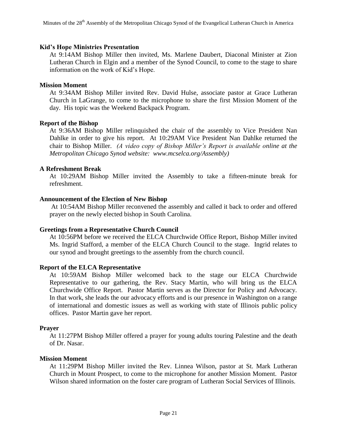#### **Kid's Hope Ministries Presentation**

At 9:14AM Bishop Miller then invited, Ms. Marlene Daubert, Diaconal Minister at Zion Lutheran Church in Elgin and a member of the Synod Council, to come to the stage to share information on the work of Kid's Hope.

#### **Mission Moment**

At 9:34AM Bishop Miller invited Rev. David Hulse, associate pastor at Grace Lutheran Church in LaGrange, to come to the microphone to share the first Mission Moment of the day. His topic was the Weekend Backpack Program.

#### **Report of the Bishop**

At 9:36AM Bishop Miller relinquished the chair of the assembly to Vice President Nan Dahlke in order to give his report. At 10:29AM Vice President Nan Dahlke returned the chair to Bishop Miller. *(A video copy of Bishop Miller's Report is available online at the Metropolitan Chicago Synod website: www.mcselca.org/Assembly)*

#### **A Refreshment Break**

At 10:29AM Bishop Miller invited the Assembly to take a fifteen-minute break for refreshment.

#### **Announcement of the Election of New Bishop**

At 10:54AM Bishop Miller reconvened the assembly and called it back to order and offered prayer on the newly elected bishop in South Carolina.

#### **Greetings from a Representative Church Council**

At 10:56PM before we received the ELCA Churchwide Office Report, Bishop Miller invited Ms. Ingrid Stafford, a member of the ELCA Church Council to the stage. Ingrid relates to our synod and brought greetings to the assembly from the church council.

#### **Report of the ELCA Representative**

At 10:59AM Bishop Miller welcomed back to the stage our ELCA Churchwide Representative to our gathering, the Rev. Stacy Martin, who will bring us the ELCA Churchwide Office Report. Pastor Martin serves as the Director for Policy and Advocacy. In that work, she leads the our advocacy efforts and is our presence in Washington on a range of international and domestic issues as well as working with state of Illinois public policy offices. Pastor Martin gave her report.

#### **Prayer**

At 11:27PM Bishop Miller offered a prayer for young adults touring Palestine and the death of Dr. Nasar.

#### **Mission Moment**

At 11:29PM Bishop Miller invited the Rev. Linnea Wilson, pastor at St. Mark Lutheran Church in Mount Prospect, to come to the microphone for another Mission Moment. Pastor Wilson shared information on the foster care program of Lutheran Social Services of Illinois.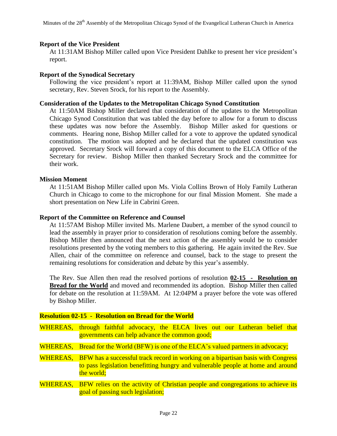#### **Report of the Vice President**

At 11:31AM Bishop Miller called upon Vice President Dahlke to present her vice president's report.

#### **Report of the Synodical Secretary**

Following the vice president's report at 11:39AM, Bishop Miller called upon the synod secretary, Rev. Steven Srock, for his report to the Assembly.

#### **Consideration of the Updates to the Metropolitan Chicago Synod Constitution**

At 11:50AM Bishop Miller declared that consideration of the updates to the Metropolitan Chicago Synod Constitution that was tabled the day before to allow for a forum to discuss these updates was now before the Assembly. Bishop Miller asked for questions or comments. Hearing none, Bishop Miller called for a vote to approve the updated synodical constitution. The motion was adopted and he declared that the updated constitution was approved. Secretary Srock will forward a copy of this document to the ELCA Office of the Secretary for review. Bishop Miller then thanked Secretary Srock and the committee for their work.

#### **Mission Moment**

At 11:51AM Bishop Miller called upon Ms. Viola Collins Brown of Holy Family Lutheran Church in Chicago to come to the microphone for our final Mission Moment. She made a short presentation on New Life in Cabrini Green.

#### **Report of the Committee on Reference and Counsel**

At 11:57AM Bishop Miller invited Ms. Marlene Daubert, a member of the synod council to lead the assembly in prayer prior to consideration of resolutions coming before the assembly. Bishop Miller then announced that the next action of the assembly would be to consider resolutions presented by the voting members to this gathering. He again invited the Rev. Sue Allen, chair of the committee on reference and counsel, back to the stage to present the remaining resolutions for consideration and debate by this year's assembly.

The Rev. Sue Allen then read the resolved portions of resolution **02-15 - Resolution on Bread for the World** and moved and recommended its adoption. Bishop Miller then called for debate on the resolution at 11:59AM. At 12:04PM a prayer before the vote was offered by Bishop Miller.

| <b>Resolution 02-15 - Resolution on Bread for the World</b> |                                                                                                                                                                                          |  |  |  |  |  |
|-------------------------------------------------------------|------------------------------------------------------------------------------------------------------------------------------------------------------------------------------------------|--|--|--|--|--|
|                                                             | WHEREAS, through faithful advocacy, the ELCA lives out our Lutheran belief that<br>governments can help advance the common good;                                                         |  |  |  |  |  |
|                                                             | WHEREAS, Bread for the World (BFW) is one of the ELCA's valued partners in advocacy;                                                                                                     |  |  |  |  |  |
| WHEREAS,                                                    | <b>BFW</b> has a successful track record in working on a bipartisan basis with Congress<br>to pass legislation benefitting hungry and vulnerable people at home and around<br>the world; |  |  |  |  |  |
|                                                             | WHEREAS, BFW relies on the activity of Christian people and congregations to achieve its<br>goal of passing such legislation;                                                            |  |  |  |  |  |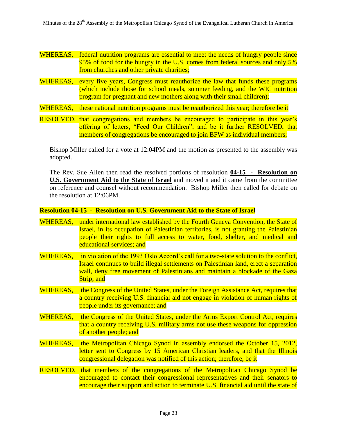- WHEREAS, federal nutrition programs are essential to meet the needs of hungry people since 95% of food for the hungry in the U.S. comes from federal sources and only 5% from churches and other private charities;
- WHEREAS, every five years, Congress must reauthorize the law that funds these programs (which include those for school meals, summer feeding, and the WIC nutrition program for pregnant and new mothers along with their small children);

WHEREAS, these national nutrition programs must be reauthorized this year; therefore be it

RESOLVED, that congregations and members be encouraged to participate in this year's offering of letters, "Feed Our Children"; and be it further RESOLVED, that members of congregations be encouraged to join BFW as individual members;

Bishop Miller called for a vote at 12:04PM and the motion as presented to the assembly was adopted.

The Rev. Sue Allen then read the resolved portions of resolution **04-15 - Resolution on U.S. Government Aid to the State of Israel** and moved it and it came from the committee on reference and counsel without recommendation. Bishop Miller then called for debate on the resolution at 12:06PM.

**Resolution 04-15 - Resolution on U.S. Government Aid to the State of Israel**

- WHEREAS, under international law established by the Fourth Geneva Convention, the State of Israel, in its occupation of Palestinian territories, is not granting the Palestinian people their rights to full access to water, food, shelter, and medical and educational services; and
- WHEREAS, in violation of the 1993 Oslo Accord's call for a two-state solution to the conflict, Israel continues to build illegal settlements on Palestinian land, erect a separation wall, deny free movement of Palestinians and maintain a blockade of the Gaza Strip; and
- WHEREAS, the Congress of the United States, under the Foreign Assistance Act, requires that a country receiving U.S. financial aid not engage in violation of human rights of people under its governance; and
- WHEREAS, the Congress of the United States, under the Arms Export Control Act, requires that a country receiving U.S. military arms not use these weapons for oppression of another people; and
- WHEREAS, the Metropolitan Chicago Synod in assembly endorsed the October 15, 2012, letter sent to Congress by 15 American Christian leaders, and that the Illinois congressional delegation was notified of this action; therefore, be it
- RESOLVED, that members of the congregations of the Metropolitan Chicago Synod be encouraged to contact their congressional representatives and their senators to encourage their support and action to terminate U.S. financial aid until the state of